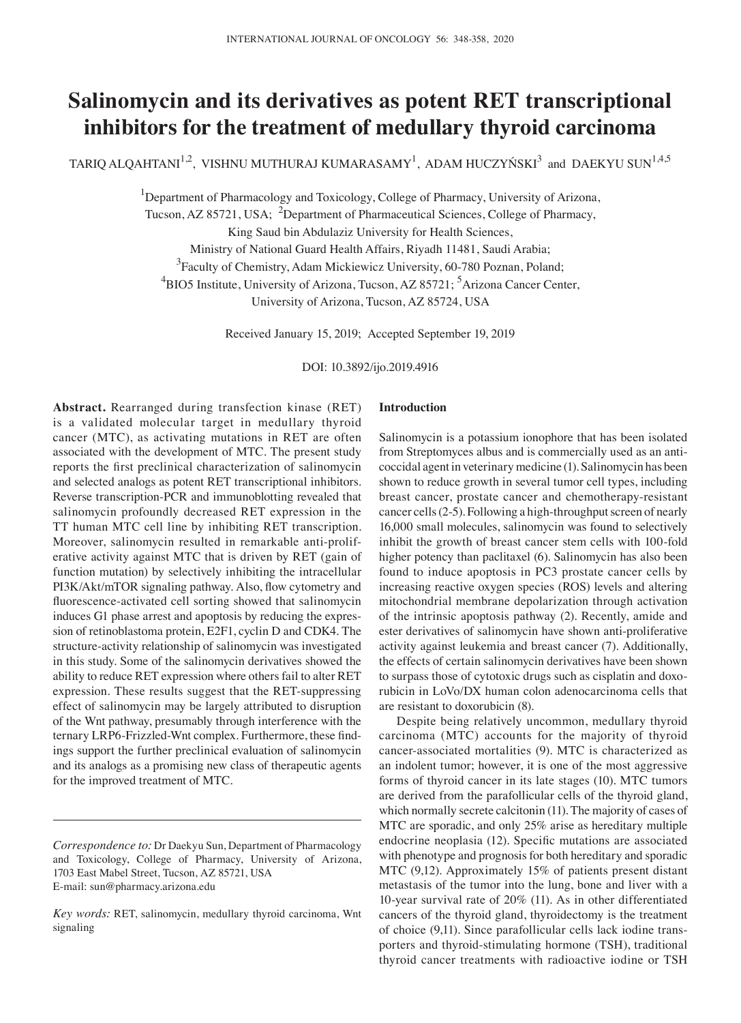# **Salinomycin and its derivatives as potent RET transcriptional inhibitors for the treatment of medullary thyroid carcinoma**

TARIQ ALQAHTANI $^{1,2}$ , VISHNU MUTHURAJ KUMARASAMY $^{1}$ , ADAM HUCZYŃSKI $^{3}$  and DAEKYU SUN $^{1,4,5}$ 

<sup>1</sup>Department of Pharmacology and Toxicology, College of Pharmacy, University of Arizona,

Tucson, AZ 85721, USA; <sup>2</sup>Department of Pharmaceutical Sciences, College of Pharmacy,

King Saud bin Abdulaziz University for Health Sciences,

Ministry of National Guard Health Affairs, Riyadh 11481, Saudi Arabia;

<sup>3</sup> Faculty of Chemistry, Adam Mickiewicz University, 60-780 Poznan, Poland;

<sup>4</sup>BIO5 Institute, University of Arizona, Tucson, AZ 85721; <sup>5</sup>Arizona Cancer Center,

University of Arizona, Tucson, AZ 85724, USA

Received January 15, 2019; Accepted September 19, 2019

DOI: 10.3892/ijo.2019.4916

**Abstract.** Rearranged during transfection kinase (RET) is a validated molecular target in medullary thyroid cancer (MTC), as activating mutations in RET are often associated with the development of MTC. The present study reports the first preclinical characterization of salinomycin and selected analogs as potent RET transcriptional inhibitors. Reverse transcription-PCR and immunoblotting revealed that salinomycin profoundly decreased RET expression in the TT human MTC cell line by inhibiting RET transcription. Moreover, salinomycin resulted in remarkable anti-proliferative activity against MTC that is driven by RET (gain of function mutation) by selectively inhibiting the intracellular PI3K/Akt/mTOR signaling pathway. Also, flow cytometry and fluorescence‑activated cell sorting showed that salinomycin induces G1 phase arrest and apoptosis by reducing the expression of retinoblastoma protein, E2F1, cyclin D and CDK4. The structure-activity relationship of salinomycin was investigated in this study. Some of the salinomycin derivatives showed the ability to reduce RET expression where others fail to alter RET expression. These results suggest that the RET-suppressing effect of salinomycin may be largely attributed to disruption of the Wnt pathway, presumably through interference with the ternary LRP6‑Frizzled‑Wnt complex. Furthermore, these findings support the further preclinical evaluation of salinomycin and its analogs as a promising new class of therapeutic agents for the improved treatment of MTC.

### **Introduction**

Salinomycin is a potassium ionophore that has been isolated from Streptomyces albus and is commercially used as an anticoccidal agent in veterinary medicine (1). Salinomycin has been shown to reduce growth in several tumor cell types, including breast cancer, prostate cancer and chemotherapy-resistant cancer cells(2-5). Following a high-throughput screen of nearly 16,000 small molecules, salinomycin was found to selectively inhibit the growth of breast cancer stem cells with 100-fold higher potency than paclitaxel (6). Salinomycin has also been found to induce apoptosis in PC3 prostate cancer cells by increasing reactive oxygen species (ROS) levels and altering mitochondrial membrane depolarization through activation of the intrinsic apoptosis pathway (2). Recently, amide and ester derivatives of salinomycin have shown anti-proliferative activity against leukemia and breast cancer (7). Additionally, the effects of certain salinomycin derivatives have been shown to surpass those of cytotoxic drugs such as cisplatin and doxorubicin in LoVo/DX human colon adenocarcinoma cells that are resistant to doxorubicin (8).

Despite being relatively uncommon, medullary thyroid carcinoma (MTC) accounts for the majority of thyroid cancer‑associated mortalities (9). MTC is characterized as an indolent tumor; however, it is one of the most aggressive forms of thyroid cancer in its late stages (10). MTC tumors are derived from the parafollicular cells of the thyroid gland, which normally secrete calcitonin (11). The majority of cases of MTC are sporadic, and only 25% arise as hereditary multiple endocrine neoplasia (12). Specific mutations are associated with phenotype and prognosis for both hereditary and sporadic MTC (9,12). Approximately 15% of patients present distant metastasis of the tumor into the lung, bone and liver with a 10-year survival rate of 20% (11). As in other differentiated cancers of the thyroid gland, thyroidectomy is the treatment of choice (9,11). Since parafollicular cells lack iodine transporters and thyroid-stimulating hormone (TSH), traditional thyroid cancer treatments with radioactive iodine or TSH

*Correspondence to:* Dr Daekyu Sun, Department of Pharmacology and Toxicology, College of Pharmacy, University of Arizona, 1703 East Mabel Street, Tucson, AZ 85721, USA E‑mail: sun@pharmacy.arizona.edu

*Key words:* RET, salinomycin, medullary thyroid carcinoma, Wnt signaling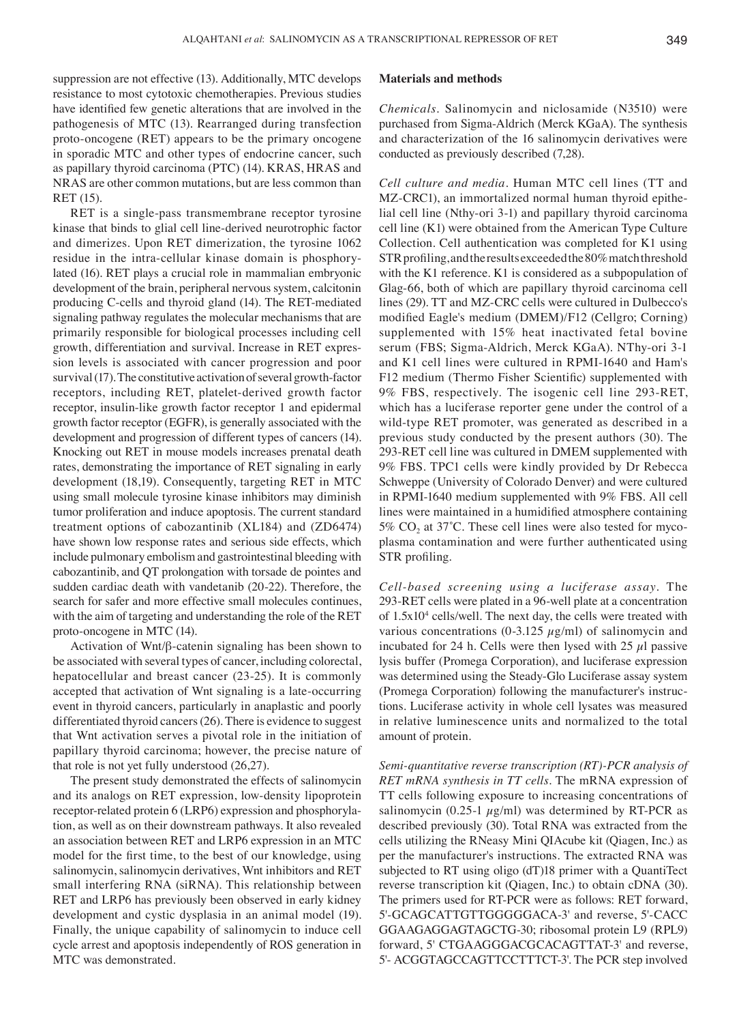suppression are not effective (13). Additionally, MTC develops resistance to most cytotoxic chemotherapies. Previous studies have identified few genetic alterations that are involved in the pathogenesis of MTC (13). Rearranged during transfection proto-oncogene (RET) appears to be the primary oncogene in sporadic MTC and other types of endocrine cancer, such as papillary thyroid carcinoma (PTC) (14). KRAS, HRAS and NRAS are other common mutations, but are less common than RET (15).

RET is a single-pass transmembrane receptor tyrosine kinase that binds to glial cell line-derived neurotrophic factor and dimerizes. Upon RET dimerization, the tyrosine 1062 residue in the intra-cellular kinase domain is phosphorylated (16). RET plays a crucial role in mammalian embryonic development of the brain, peripheral nervous system, calcitonin producing C-cells and thyroid gland (14). The RET-mediated signaling pathway regulates the molecular mechanisms that are primarily responsible for biological processes including cell growth, differentiation and survival. Increase in RET expression levels is associated with cancer progression and poor survival(17). The constitutive activation of several growth-factor receptors, including RET, platelet-derived growth factor receptor, insulin-like growth factor receptor 1 and epidermal growth factor receptor (EGFR), is generally associated with the development and progression of different types of cancers (14). Knocking out RET in mouse models increases prenatal death rates, demonstrating the importance of RET signaling in early development (18,19). Consequently, targeting RET in MTC using small molecule tyrosine kinase inhibitors may diminish tumor proliferation and induce apoptosis. The current standard treatment options of cabozantinib (XL184) and (ZD6474) have shown low response rates and serious side effects, which include pulmonary embolism and gastrointestinal bleeding with cabozantinib, and QT prolongation with torsade de pointes and sudden cardiac death with vandetanib (20-22). Therefore, the search for safer and more effective small molecules continues, with the aim of targeting and understanding the role of the RET proto-oncogene in MTC (14).

Activation of Wnt/β-catenin signaling has been shown to be associated with several types of cancer, including colorectal, hepatocellular and breast cancer (23-25). It is commonly accepted that activation of Wnt signaling is a late-occurring event in thyroid cancers, particularly in anaplastic and poorly differentiated thyroid cancers(26). There is evidence to suggest that Wnt activation serves a pivotal role in the initiation of papillary thyroid carcinoma; however, the precise nature of that role is not yet fully understood (26,27).

The present study demonstrated the effects of salinomycin and its analogs on RET expression, low-density lipoprotein receptor-related protein 6 (LRP6) expression and phosphorylation, as well as on their downstream pathways. It also revealed an association between RET and LRP6 expression in an MTC model for the first time, to the best of our knowledge, using salinomycin, salinomycin derivatives, Wnt inhibitors and RET small interfering RNA (siRNA). This relationship between RET and LRP6 has previously been observed in early kidney development and cystic dysplasia in an animal model (19). Finally, the unique capability of salinomycin to induce cell cycle arrest and apoptosis independently of ROS generation in MTC was demonstrated.

#### **Materials and methods**

*Chemicals.* Salinomycin and niclosamide (N3510) were purchased from Sigma-Aldrich (Merck KGaA). The synthesis and characterization of the 16 salinomycin derivatives were conducted as previously described (7,28).

*Cell culture and media.* Human MTC cell lines (TT and MZ‑CRC1), an immortalized normal human thyroid epithelial cell line (Nthy-ori 3-1) and papillary thyroid carcinoma cell line (K1) were obtained from the American Type Culture Collection. Cell authentication was completed for K1 using STR profiling, and the results exceeded the 80% match threshold with the K1 reference. K1 is considered as a subpopulation of Glag-66, both of which are papillary thyroid carcinoma cell lines (29). TT and MZ-CRC cells were cultured in Dulbecco's modified Eagle's medium (DMEM)/F12 (Cellgro; Corning) supplemented with 15% heat inactivated fetal bovine serum (FBS; Sigma-Aldrich, Merck KGaA). NThy-ori 3-1 and K1 cell lines were cultured in RPMI-1640 and Ham's F12 medium (Thermo Fisher Scientific) supplemented with 9% FBS, respectively. The isogenic cell line 293-RET, which has a luciferase reporter gene under the control of a wild-type RET promoter, was generated as described in a previous study conducted by the present authors (30). The 293-RET cell line was cultured in DMEM supplemented with 9% FBS. TPC1 cells were kindly provided by Dr Rebecca Schweppe (University of Colorado Denver) and were cultured in RPMI-1640 medium supplemented with 9% FBS. All cell lines were maintained in a humidified atmosphere containing 5%  $CO<sub>2</sub>$  at 37°C. These cell lines were also tested for mycoplasma contamination and were further authenticated using STR profiling.

*Cell‑based screening using a luciferase assay.* The 293-RET cells were plated in a 96-well plate at a concentration of  $1.5x10<sup>4</sup>$  cells/well. The next day, the cells were treated with various concentrations (0-3.125  $\mu$ g/ml) of salinomycin and incubated for 24 h. Cells were then lysed with  $25 \mu l$  passive lysis buffer (Promega Corporation), and luciferase expression was determined using the Steady-Glo Luciferase assay system (Promega Corporation) following the manufacturer's instructions. Luciferase activity in whole cell lysates was measured in relative luminescence units and normalized to the total amount of protein.

*Semi‑quantitative reverse transcription (RT)‑PCR analysis of RET mRNA synthesis in TT cells.* The mRNA expression of TT cells following exposure to increasing concentrations of salinomycin (0.25-1  $\mu$ g/ml) was determined by RT-PCR as described previously (30). Total RNA was extracted from the cells utilizing the RNeasy Mini QIAcube kit (Qiagen, Inc.) as per the manufacturer's instructions. The extracted RNA was subjected to RT using oligo (dT)18 primer with a QuantiTect reverse transcription kit (Qiagen, Inc.) to obtain cDNA (30). The primers used for RT-PCR were as follows: RET forward, 5'-GCAGCATTGTTGGGGGACA-3' and reverse, 5'-CACC GGAAGAGGAGTAGCTG-30; ribosomal protein L9 (RPL9) forward, 5' CTGAAGGGACGCACAGTTAT-3' and reverse, 5'- ACGGTAGCCAGTTCCTTTCT-3'. The PCR step involved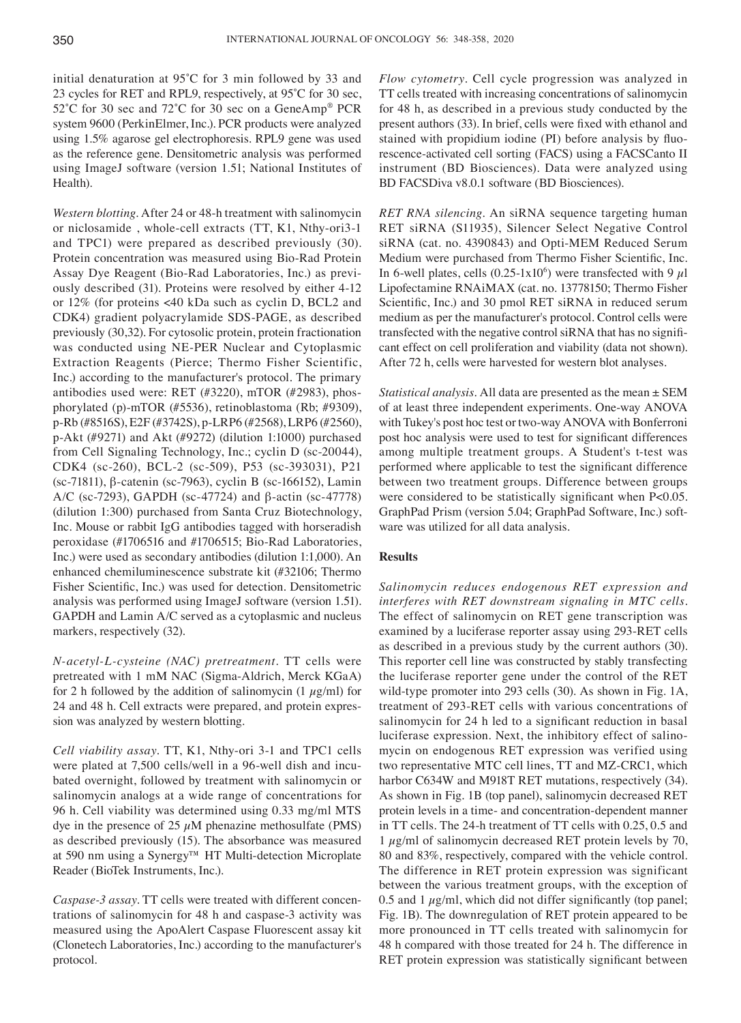initial denaturation at 95˚C for 3 min followed by 33 and 23 cycles for RET and RPL9, respectively, at 95˚C for 30 sec, 52°C for 30 sec and 72°C for 30 sec on a GeneAmp<sup>®</sup> PCR system 9600 (PerkinElmer, Inc.). PCR products were analyzed using 1.5% agarose gel electrophoresis. RPL9 gene was used as the reference gene. Densitometric analysis was performed using ImageJ software (version 1.51; National Institutes of Health).

*Western blotting.* After 24 or 48-h treatment with salinomycin or niclosamide , whole-cell extracts (TT, K1, Nthy-ori3-1 and TPC1) were prepared as described previously (30). Protein concentration was measured using Bio-Rad Protein Assay Dye Reagent (Bio-Rad Laboratories, Inc.) as previously described (31). Proteins were resolved by either 4-12 or 12% (for proteins <40 kDa such as cyclin D, BCL2 and CDK4) gradient polyacrylamide SDS-PAGE, as described previously (30,32). For cytosolic protein, protein fractionation was conducted using NE-PER Nuclear and Cytoplasmic Extraction Reagents (Pierce; Thermo Fisher Scientific, Inc.) according to the manufacturer's protocol. The primary antibodies used were: RET (#3220), mTOR (#2983), phosphorylated (p)-mTOR (#5536), retinoblastoma (Rb; #9309), p-Rb (#8516S), E2F (#3742S), p-LRP6 (#2568), LRP6 (#2560), p-Akt (#9271) and Akt (#9272) (dilution 1:1000) purchased from Cell Signaling Technology, Inc.; cyclin D (sc-20044), CDK4 (sc-260), BCL-2 (sc-509), P53 (sc-393031), P21 (sc-71811), β-catenin (sc-7963), cyclin B (sc-166152), Lamin A/C (sc-7293), GAPDH (sc-47724) and β-actin (sc-47778) (dilution 1:300) purchased from Santa Cruz Biotechnology, Inc. Mouse or rabbit IgG antibodies tagged with horseradish peroxidase (#1706516 and #1706515; Bio-Rad Laboratories, Inc.) were used as secondary antibodies (dilution 1:1,000). An enhanced chemiluminescence substrate kit (#32106; Thermo Fisher Scientific, Inc.) was used for detection. Densitometric analysis was performed using ImageJ software (version 1.51). GAPDH and Lamin A/C served as a cytoplasmic and nucleus markers, respectively (32).

*N‑acetyl‑L‑cysteine (NAC) pretreatment.* TT cells were pretreated with 1 mM NAC (Sigma-Aldrich, Merck KGaA) for 2 h followed by the addition of salinomycin  $(1 \mu g/ml)$  for 24 and 48 h. Cell extracts were prepared, and protein expression was analyzed by western blotting.

*Cell viability assay.* TT, K1, Nthy-ori 3-1 and TPC1 cells were plated at 7,500 cells/well in a 96-well dish and incubated overnight, followed by treatment with salinomycin or salinomycin analogs at a wide range of concentrations for 96 h. Cell viability was determined using 0.33 mg/ml MTS dye in the presence of  $25 \mu M$  phenazine methosulfate (PMS) as described previously (15). The absorbance was measured at 590 nm using a Synergy™ HT Multi-detection Microplate Reader (BioTek Instruments, Inc.).

*Caspase‑3 assay.* TT cells were treated with different concentrations of salinomycin for 48 h and caspase-3 activity was measured using the ApoAlert Caspase Fluorescent assay kit (Clonetech Laboratories, Inc.) according to the manufacturer's protocol.

*Flow cytometry.* Cell cycle progression was analyzed in TT cells treated with increasing concentrations of salinomycin for 48 h, as described in a previous study conducted by the present authors (33). In brief, cells were fixed with ethanol and stained with propidium iodine (PI) before analysis by fluorescence-activated cell sorting (FACS) using a FACSCanto II instrument (BD Biosciences). Data were analyzed using BD FACSDiva v8.0.1 software (BD Biosciences).

*RET RNA silencing.* An siRNA sequence targeting human RET siRNA (S11935), Silencer Select Negative Control siRNA (cat. no. 4390843) and Opti-MEM Reduced Serum Medium were purchased from Thermo Fisher Scientific, Inc. In 6-well plates, cells  $(0.25-1x10^6)$  were transfected with 9  $\mu$ l Lipofectamine RNAiMAX (cat. no. 13778150; Thermo Fisher Scientific, Inc.) and 30 pmol RET siRNA in reduced serum medium as per the manufacturer's protocol. Control cells were transfected with the negative control siRNA that has no significant effect on cell proliferation and viability (data not shown). After 72 h, cells were harvested for western blot analyses.

*Statistical analysis.* All data are presented as the mean ± SEM of at least three independent experiments. One-way ANOVA with Tukey's post hoc test or two-way ANOVA with Bonferroni post hoc analysis were used to test for significant differences among multiple treatment groups. A Student's t-test was performed where applicable to test the significant difference between two treatment groups. Difference between groups were considered to be statistically significant when P<0.05. GraphPad Prism (version 5.04; GraphPad Software, Inc.) software was utilized for all data analysis.

## **Results**

*Salinomycin reduces endogenous RET expression and interferes with RET downstream signaling in MTC cells.*  The effect of salinomycin on RET gene transcription was examined by a luciferase reporter assay using 293-RET cells as described in a previous study by the current authors (30). This reporter cell line was constructed by stably transfecting the luciferase reporter gene under the control of the RET wild-type promoter into 293 cells (30). As shown in Fig. 1A, treatment of 293-RET cells with various concentrations of salinomycin for 24 h led to a significant reduction in basal luciferase expression. Next, the inhibitory effect of salinomycin on endogenous RET expression was verified using two representative MTC cell lines, TT and MZ-CRC1, which harbor C634W and M918T RET mutations, respectively (34). As shown in Fig. 1B (top panel), salinomycin decreased RET protein levels in a time- and concentration-dependent manner in TT cells. The 24-h treatment of TT cells with 0.25, 0.5 and 1  $\mu$ g/ml of salinomycin decreased RET protein levels by 70, 80 and 83%, respectively, compared with the vehicle control. The difference in RET protein expression was significant between the various treatment groups, with the exception of 0.5 and 1  $\mu$ g/ml, which did not differ significantly (top panel; Fig. 1B). The downregulation of RET protein appeared to be more pronounced in TT cells treated with salinomycin for 48 h compared with those treated for 24 h. The difference in RET protein expression was statistically significant between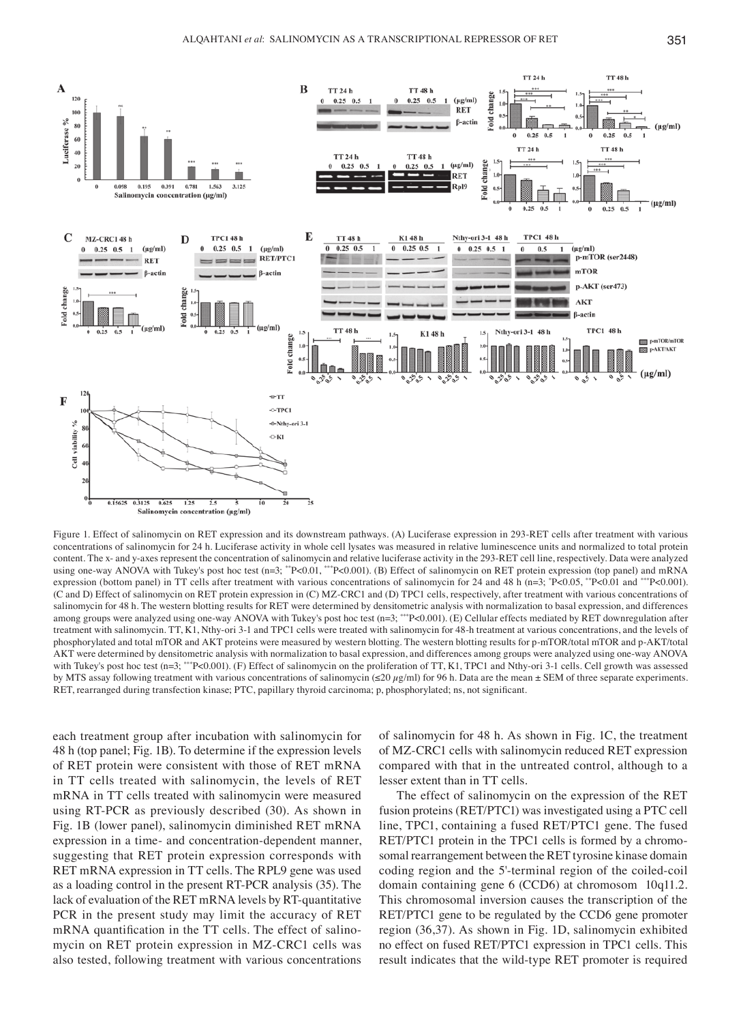

Figure 1. Effect of salinomycin on RET expression and its downstream pathways. (A) Luciferase expression in 293-RET cells after treatment with various concentrations of salinomycin for 24 h. Luciferase activity in whole cell lysates was measured in relative luminescence units and normalized to total protein content. The x‑ and y‑axes represent the concentration of salinomycin and relative luciferase activity in the 293‑RET cell line, respectively. Data were analyzed using one-way ANOVA with Tukey's post hoc test (n=3; \*\*P<0.01, \*\*P<0.001). (B) Effect of salinomycin on RET protein expression (top panel) and mRNA expression (bottom panel) in TT cells after treatment with various concentrations of salinomycin for 24 and 48 h (n=3; \*P<0.05, \*\*P<0.01 and \*\*\*P<0.001). (C and D) Effect of salinomycin on RET protein expression in (C) MZ-CRC1 and (D) TPC1 cells, respectively, after treatment with various concentrations of salinomycin for 48 h. The western blotting results for RET were determined by densitometric analysis with normalization to basal expression, and differences among groups were analyzed using one-way ANOVA with Tukey's post hoc test (n=3; \*\*\*P<0.001). (E) Cellular effects mediated by RET downregulation after treatment with salinomycin. TT, K1, Nthy-ori 3-1 and TPC1 cells were treated with salinomycin for 48-h treatment at various concentrations, and the levels of phosphorylated and total mTOR and AKT proteins were measured by western blotting. The western blotting results for p-mTOR/total mTOR and p-AKT/total AKT were determined by densitometric analysis with normalization to basal expression, and differences among groups were analyzed using one‑way ANOVA with Tukey's post hoc test (n=3; \*\*\*P<0.001). (F) Effect of salinomycin on the proliferation of TT, K1, TPC1 and Nthy-ori 3-1 cells. Cell growth was assessed by MTS assay following treatment with various concentrations of salinomycin (≤20  $\mu$ g/ml) for 96 h. Data are the mean ± SEM of three separate experiments. RET, rearranged during transfection kinase; PTC, papillary thyroid carcinoma; p, phosphorylated; ns, not significant.

each treatment group after incubation with salinomycin for 48 h (top panel; Fig. 1B). To determine if the expression levels of RET protein were consistent with those of RET mRNA in TT cells treated with salinomycin, the levels of RET mRNA in TT cells treated with salinomycin were measured using RT-PCR as previously described (30). As shown in Fig. 1B (lower panel), salinomycin diminished RET mRNA expression in a time- and concentration-dependent manner, suggesting that RET protein expression corresponds with RET mRNA expression in TT cells. The RPL9 gene was used as a loading control in the present RT-PCR analysis (35). The lack of evaluation of the RET mRNA levels by RT-quantitative PCR in the present study may limit the accuracy of RET mRNA quantification in the TT cells. The effect of salinomycin on RET protein expression in MZ-CRC1 cells was also tested, following treatment with various concentrations of salinomycin for 48 h. As shown in Fig. 1C, the treatment of MZ-CRC1 cells with salinomycin reduced RET expression compared with that in the untreated control, although to a lesser extent than in TT cells.

The effect of salinomycin on the expression of the RET fusion proteins (RET/PTC1) was investigated using a PTC cell line, TPC1, containing a fused RET/PTC1 gene. The fused RET/PTC1 protein in the TPC1 cells is formed by a chromosomal rearrangement between the RET tyrosine kinase domain coding region and the 5'-terminal region of the coiled-coil domain containing gene 6 (CCD6) at chromosom 10q11.2. This chromosomal inversion causes the transcription of the RET/PTC1 gene to be regulated by the CCD6 gene promoter region (36,37). As shown in Fig. 1D, salinomycin exhibited no effect on fused RET/PTC1 expression in TPC1 cells. This result indicates that the wild-type RET promoter is required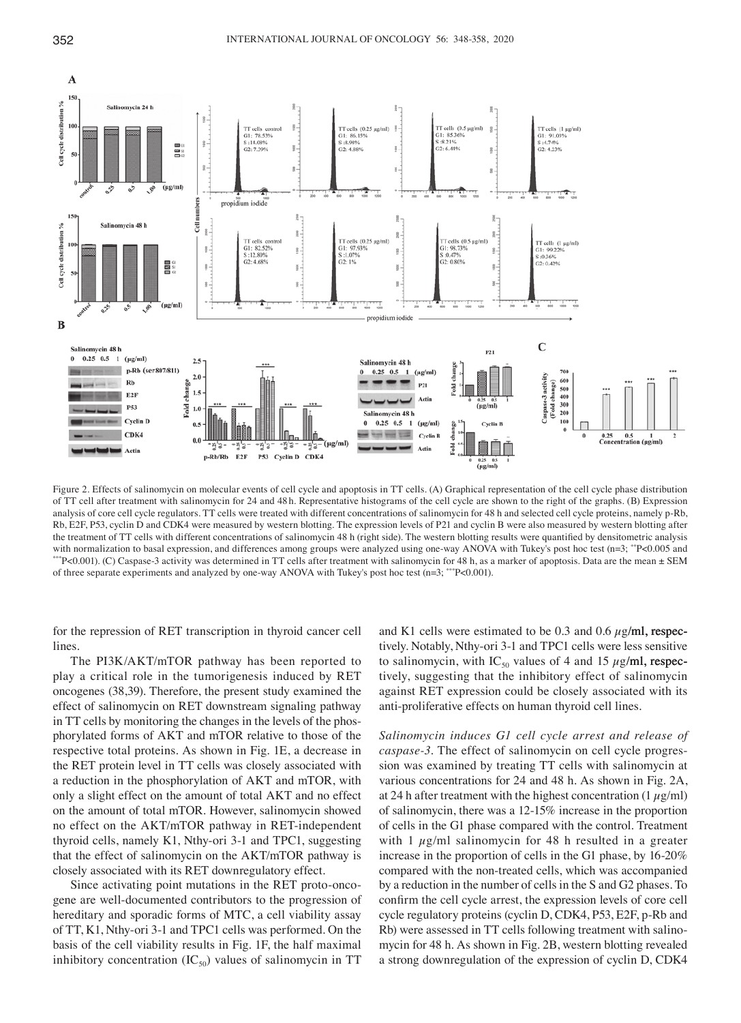

Figure 2. Effects of salinomycin on molecular events of cell cycle and apoptosis in TT cells. (A) Graphical representation of the cell cycle phase distribution of TT cell after treatment with salinomycin for 24 and 48 h. Representative histograms of the cell cycle are shown to the right of the graphs. (B) Expression analysis of core cell cycle regulators. TT cells were treated with different concentrations of salinomycin for 48 h and selected cell cycle proteins, namely p-Rb, Rb, E2F, P53, cyclin D and CDK4 were measured by western blotting. The expression levels of P21 and cyclin B were also measured by western blotting after the treatment of TT cells with different concentrations of salinomycin 48 h (right side). The western blotting results were quantified by densitometric analysis with normalization to basal expression, and differences among groups were analyzed using one-way ANOVA with Tukey's post hoc test (n=3; \*P<0.005 and \*\*P<0.001). (C) Caspase-3 activity was determined in TT cells after treat of three separate experiments and analyzed by one-way ANOVA with Tukey's post hoc test ( $n=3$ ; \*\*\*P<0.001).

for the repression of RET transcription in thyroid cancer cell lines.

The PI3K/AKT/mTOR pathway has been reported to play a critical role in the tumorigenesis induced by RET oncogenes (38,39). Therefore, the present study examined the effect of salinomycin on RET downstream signaling pathway in TT cells by monitoring the changes in the levels of the phosphorylated forms of AKT and mTOR relative to those of the respective total proteins. As shown in Fig. 1E, a decrease in the RET protein level in TT cells was closely associated with a reduction in the phosphorylation of AKT and mTOR, with only a slight effect on the amount of total AKT and no effect on the amount of total mTOR. However, salinomycin showed no effect on the AKT/mTOR pathway in RET-independent thyroid cells, namely K1, Nthy-ori 3-1 and TPC1, suggesting that the effect of salinomycin on the AKT/mTOR pathway is closely associated with its RET downregulatory effect.

Since activating point mutations in the RET proto-oncogene are well-documented contributors to the progression of hereditary and sporadic forms of MTC, a cell viability assay of TT, K1, Nthy-ori 3-1 and TPC1 cells was performed. On the basis of the cell viability results in Fig. 1F, the half maximal inhibitory concentration  $(IC_{50})$  values of salinomycin in TT and K1 cells were estimated to be 0.3 and 0.6  $\mu$ g/ml, respectively. Notably, Nthy-ori 3-1 and TPC1 cells were less sensitive to salinomycin, with IC<sub>50</sub> values of 4 and 15  $\mu$ g/ml, respectively, suggesting that the inhibitory effect of salinomycin against RET expression could be closely associated with its anti-proliferative effects on human thyroid cell lines.

*Salinomycin induces G1 cell cycle arrest and release of caspase‑3.* The effect of salinomycin on cell cycle progression was examined by treating TT cells with salinomycin at various concentrations for 24 and 48 h. As shown in Fig. 2A, at 24 h after treatment with the highest concentration  $(1 \mu g/ml)$ of salinomycin, there was a 12-15% increase in the proportion of cells in the G1 phase compared with the control. Treatment with 1  $\mu$ g/ml salinomycin for 48 h resulted in a greater increase in the proportion of cells in the G1 phase, by 16-20% compared with the non-treated cells, which was accompanied by a reduction in the number of cells in the S and G2 phases. To confirm the cell cycle arrest, the expression levels of core cell cycle regulatory proteins (cyclin D, CDK4, P53, E2F, p-Rb and Rb) were assessed in TT cells following treatment with salinomycin for 48 h. As shown in Fig. 2B, western blotting revealed a strong downregulation of the expression of cyclin D, CDK4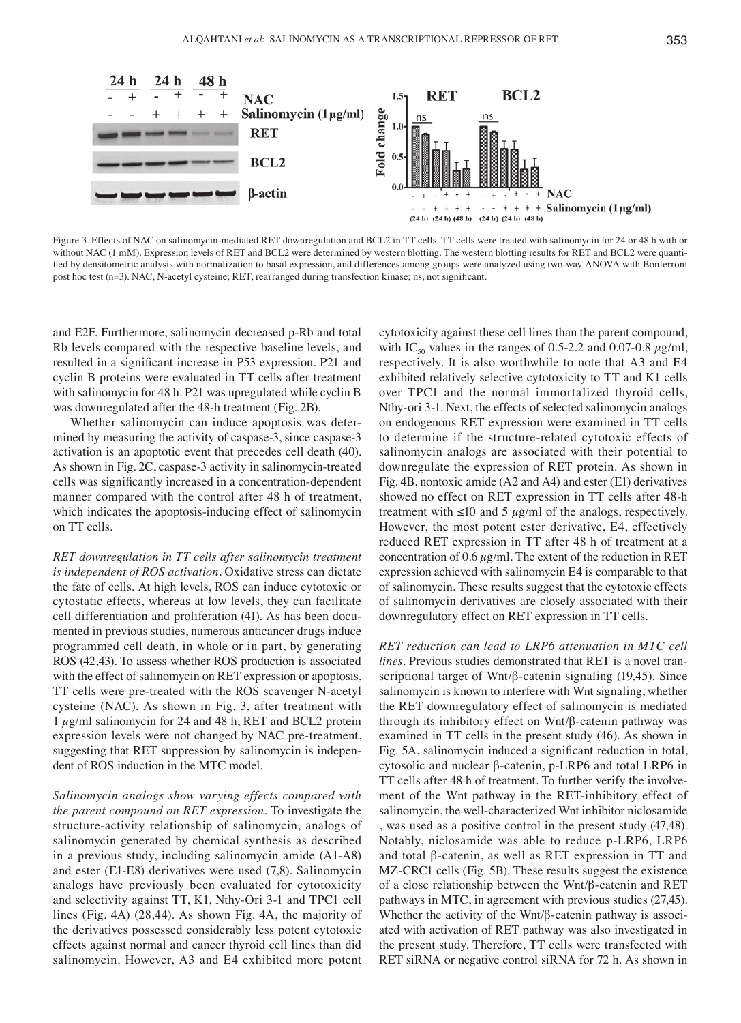

Figure 3. Effects of NAC on salinomycin-mediated RET downregulation and BCL2 in TT cells. TT cells were treated with salinomycin for 24 or 48 h with or without NAC (1 mM). Expression levels of RET and BCL2 were determined by western blotting. The western blotting results for RET and BCL2 were quantified by densitometric analysis with normalization to basal expression, and differences among groups were analyzed using two-way ANOVA with Bonferroni post hoc test (n=3). NAC, N-acetyl cysteine; RET, rearranged during transfection kinase; ns, not significant.

and E2F. Furthermore, salinomycin decreased p-Rb and total Rb levels compared with the respective baseline levels, and resulted in a significant increase in P53 expression. P21 and cyclin B proteins were evaluated in TT cells after treatment with salinomycin for 48 h. P21 was upregulated while cyclin B was downregulated after the 48-h treatment (Fig. 2B).

Whether salinomycin can induce apoptosis was determined by measuring the activity of caspase-3, since caspase-3 activation is an apoptotic event that precedes cell death (40). As shown in Fig. 2C, caspase-3 activity in salinomycin-treated cells was significantly increased in a concentration‑dependent manner compared with the control after 48 h of treatment, which indicates the apoptosis-inducing effect of salinomycin on TT cells.

*RET downregulation in TT cells after salinomycin treatment is independent of ROS activation.* Oxidative stress can dictate the fate of cells. At high levels, ROS can induce cytotoxic or cytostatic effects, whereas at low levels, they can facilitate cell differentiation and proliferation (41). As has been documented in previous studies, numerous anticancer drugs induce programmed cell death, in whole or in part, by generating ROS (42,43). To assess whether ROS production is associated with the effect of salinomycin on RET expression or apoptosis, TT cells were pre-treated with the ROS scavenger N-acetyl cysteine (NAC). As shown in Fig. 3, after treatment with  $1 \mu$ g/ml salinomycin for 24 and 48 h, RET and BCL2 protein expression levels were not changed by NAC pre-treatment, suggesting that RET suppression by salinomycin is independent of ROS induction in the MTC model.

*Salinomycin analogs show varying effects compared with the parent compound on RET expression.* To investigate the structure-activity relationship of salinomycin, analogs of salinomycin generated by chemical synthesis as described in a previous study, including salinomycin amide (A1-A8) and ester (E1-E8) derivatives were used (7,8). Salinomycin analogs have previously been evaluated for cytotoxicity and selectivity against TT, K1, Nthy-Ori 3-1 and TPC1 cell lines (Fig. 4A) (28,44). As shown Fig. 4A, the majority of the derivatives possessed considerably less potent cytotoxic effects against normal and cancer thyroid cell lines than did salinomycin. However, A3 and E4 exhibited more potent cytotoxicity against these cell lines than the parent compound, with IC<sub>50</sub> values in the ranges of 0.5-2.2 and 0.07-0.8  $\mu$ g/ml, respectively. It is also worthwhile to note that A3 and E4 exhibited relatively selective cytotoxicity to TT and K1 cells over TPC1 and the normal immortalized thyroid cells, Nthy-ori 3-1. Next, the effects of selected salinomycin analogs on endogenous RET expression were examined in TT cells to determine if the structure-related cytotoxic effects of salinomycin analogs are associated with their potential to downregulate the expression of RET protein. As shown in Fig. 4B, nontoxic amide (A2 and A4) and ester (E1) derivatives showed no effect on RET expression in TT cells after 48-h treatment with  $\leq 10$  and 5  $\mu$ g/ml of the analogs, respectively. However, the most potent ester derivative, E4, effectively reduced RET expression in TT after 48 h of treatment at a concentration of  $0.6 \,\mu$ g/ml. The extent of the reduction in RET expression achieved with salinomycin E4 is comparable to that of salinomycin. These results suggest that the cytotoxic effects of salinomycin derivatives are closely associated with their downregulatory effect on RET expression in TT cells.

*RET reduction can lead to LRP6 attenuation in MTC cell lines.* Previous studies demonstrated that RET is a novel transcriptional target of Wnt/β-catenin signaling (19,45). Since salinomycin is known to interfere with Wnt signaling, whether the RET downregulatory effect of salinomycin is mediated through its inhibitory effect on Wnt/β-catenin pathway was examined in TT cells in the present study (46). As shown in Fig. 5A, salinomycin induced a significant reduction in total, cytosolic and nuclear β-catenin, p-LRP6 and total LRP6 in TT cells after 48 h of treatment. To further verify the involvement of the Wnt pathway in the RET-inhibitory effect of salinomycin, the well-characterized Wnt inhibitor niclosamide , was used as a positive control in the present study (47,48). Notably, niclosamide was able to reduce p-LRP6, LRP6 and total β-catenin, as well as RET expression in TT and MZ-CRC1 cells (Fig. 5B). These results suggest the existence of a close relationship between the Wnt/β-catenin and RET pathways in MTC, in agreement with previous studies (27,45). Whether the activity of the Wnt/β-catenin pathway is associated with activation of RET pathway was also investigated in the present study. Therefore, TT cells were transfected with RET siRNA or negative control siRNA for 72 h. As shown in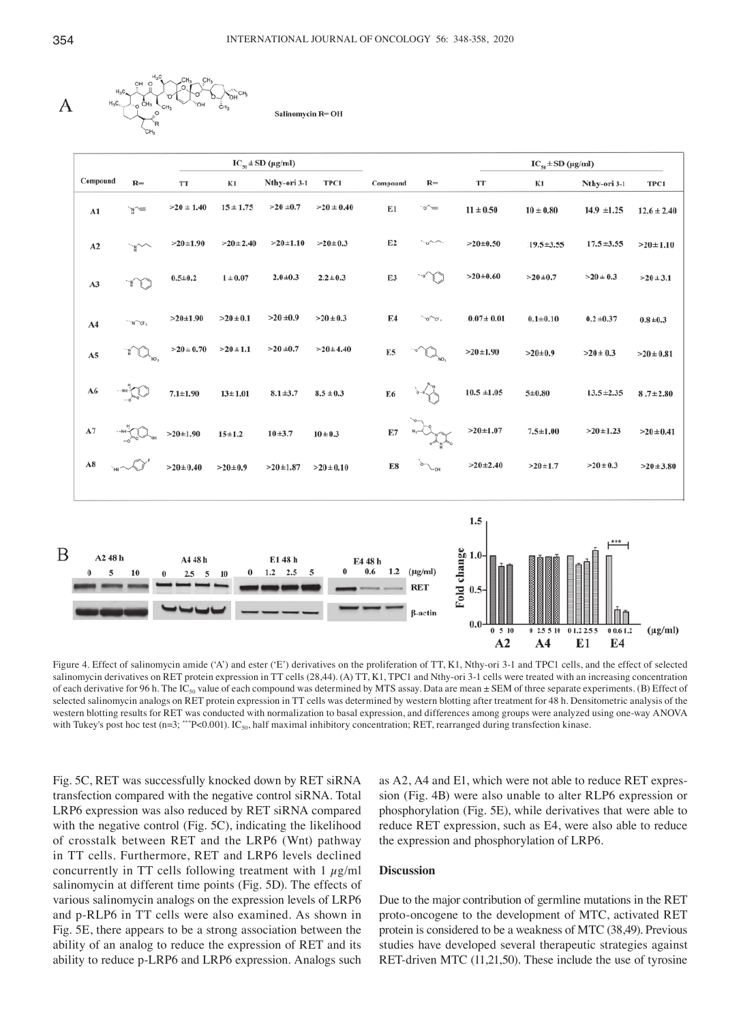

Salinomycin R= OH

|                          | $IC_{so} \pm SD$ (µg/ml) |                                 |                |                          |                |                           | $IC_{so} \pm SD$ (µg/ml)              |                                           |                 |                                        |                 |  |
|--------------------------|--------------------------|---------------------------------|----------------|--------------------------|----------------|---------------------------|---------------------------------------|-------------------------------------------|-----------------|----------------------------------------|-----------------|--|
| Compound                 | $R=$                     | TT                              | K1             | Nthy-ori 3-1             | TPC1           | Compound                  | $R=$                                  | $\mathbf{T}\mathbf{T}$                    | K1              | Nthy-ori 3-1                           | TPC1            |  |
| A1                       | `ทุ^≡                    | $>20 \pm 1.40$                  | $15 \pm 1.75$  | $>20 \pm 0.7$            | $>20 \pm 0.40$ | E1                        | ~~                                    | $11 \pm 0.50$                             | $10\pm0.80$     | $14.9 \pm 1.25$                        | $12.6 \pm 2.40$ |  |
| A2                       |                          | $>20+1.90$                      | $>20 \pm 2.40$ | $>20 \pm 1.10$           | $>20 \pm 0.3$  | E <sub>2</sub>            | $\sim$                                | $>20 \pm 0.50$                            | $19.5 \pm 3.55$ | $17.5 + 3.55$                          | $>20 \pm 1.10$  |  |
| A3                       | ™                        | $0.5 + 0.2$                     | $1 \pm 0.07$   | $2.0 + 0.3$              | $2.2 \pm 0.3$  | E3                        |                                       | $>20 \pm 0.60$                            | $>20 \pm 0.7$   | $>20 \pm 0.3$                          | $>20 \pm 3.1$   |  |
| A4                       | $\neg$ $\land$ $\lor$    | $>20+1.90$                      | $>20 \pm 0.1$  | $>20 \pm 0.9$            | $>20 \pm 0.3$  | E4                        | `cr ,<br>۰٥,                          | $0.07 \pm 0.01$                           | $0.1 + 0.10$    | $0.2 \pm 0.37$                         | $0.8 + 0.3$     |  |
| A5                       | W                        | $>20 \pm 0.70$                  | $>20 \pm 1.1$  | $>20 \pm 0.7$            | $>20 \pm 4.40$ | E <sub>5</sub>            |                                       | $>20 \pm 1.90$                            | $>20 \pm 0.9$   | $>20 \pm 0.3$                          | $>20 \pm 0.81$  |  |
| A6                       |                          | $7.1 + 1.90$                    | $13 \pm 1.01$  | $8.1 + 3.7$              | $8.5 \pm 0.3$  | E <sub>6</sub>            |                                       | $10.5 \pm 1.05$                           | $5 + 0.80$      | $13.5 \pm 2.35$                        | $8.7 \pm 2.80$  |  |
| A7                       |                          | $>20 \pm 1.90$                  | $15 + 1.2$     | $10 + 3.7$               | $10 \pm 0.3$   | E7                        |                                       | $>20+1.07$                                | $7.5 + 1.00$    | $>20 \pm 1.23$                         | $>20 \pm 0.41$  |  |
| A8                       |                          | $>20 \pm 0.40$                  | $>20\pm0.9$    | $>20+1.87$               | $>20 \pm 0.10$ | E8                        |                                       | $>20+2.40$                                | $>20+1.7$       | $>20 \pm 0.3$                          | $>20 \pm 3.80$  |  |
|                          |                          |                                 |                |                          |                |                           |                                       | 1.5                                       |                 |                                        |                 |  |
| A2 48 h<br>5<br>$\bf{0}$ | 10                       | A4 48 h<br>2.5<br>5<br>$\theta$ | 0<br>10        | E1 48 h<br>$1.2$ $2.5$ 5 | $\bf{0}$       | E4 48 h<br>$0.6\,$<br>1.2 | $(\mu g/ml)$<br><b>RET</b><br>β-actin | Fold change<br>1.0-<br>Fold change<br>0.0 |                 |                                        |                 |  |
|                          |                          |                                 |                |                          |                |                           |                                       | 0.510<br>A2                               | A <sub>4</sub>  | 02.551001.22.55<br>00.61.2<br>E4<br>E1 | $(\mu g/ml)$    |  |

Figure 4. Effect of salinomycin amide ('A') and ester ('E') derivatives on the proliferation of TT, K1, Nthy-ori 3-1 and TPC1 cells, and the effect of selected salinomycin derivatives on RET protein expression in TT cells (28,44). (A) TT, K1, TPC1 and Nthy-ori 3-1 cells were treated with an increasing concentration of each derivative for 96 h. The IC<sub>50</sub> value of each compound was determined by MTS assay. Data are mean  $\pm$  SEM of three separate experiments. (B) Effect of selected salinomycin analogs on RET protein expression in TT cells was determined by western blotting after treatment for 48 h. Densitometric analysis of the western blotting results for RET was conducted with normalization to basal expression, and differences among groups were analyzed using one‑way ANOVA with Tukey's post hoc test (n=3; \*\*\*P<0.001). IC<sub>50</sub>, half maximal inhibitory concentration; RET, rearranged during transfection kinase.

Fig. 5C, RET was successfully knocked down by RET siRNA transfection compared with the negative control siRNA. Total LRP6 expression was also reduced by RET siRNA compared with the negative control (Fig. 5C), indicating the likelihood of crosstalk between RET and the LRP6 (Wnt) pathway in TT cells. Furthermore, RET and LRP6 levels declined concurrently in TT cells following treatment with  $1 \mu g/ml$ salinomycin at different time points (Fig. 5D). The effects of various salinomycin analogs on the expression levels of LRP6 and p-RLP6 in TT cells were also examined. As shown in Fig. 5E, there appears to be a strong association between the ability of an analog to reduce the expression of RET and its ability to reduce p-LRP6 and LRP6 expression. Analogs such as A2, A4 and E1, which were not able to reduce RET expression (Fig. 4B) were also unable to alter RLP6 expression or phosphorylation (Fig. 5E), while derivatives that were able to reduce RET expression, such as E4, were also able to reduce the expression and phosphorylation of LRP6.

## **Discussion**

Due to the major contribution of germline mutations in the RET proto-oncogene to the development of MTC, activated RET protein is considered to be a weakness of MTC (38,49). Previous studies have developed several therapeutic strategies against RET-driven MTC (11,21,50). These include the use of tyrosine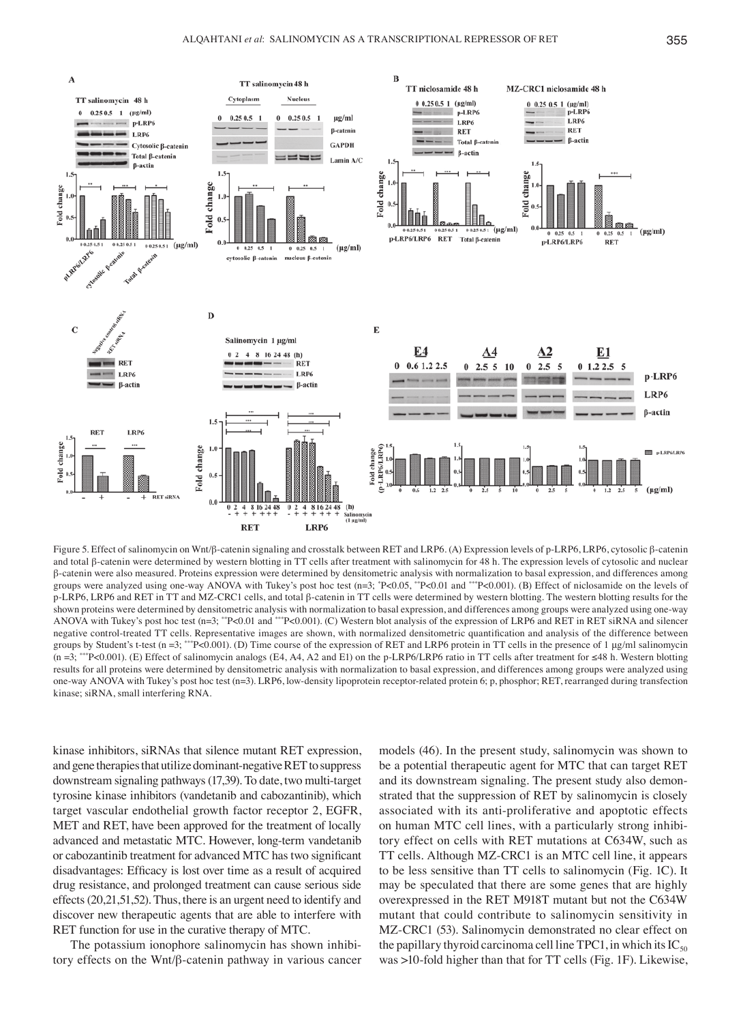

Figure 5. Effect of salinomycin on Wnt/β-catenin signaling and crosstalk between RET and LRP6. (A) Expression levels of p-LRP6, LRP6, cytosolic β-catenin and total β-catenin were determined by western blotting in TT cells after treatment with salinomycin for 48 h. The expression levels of cytosolic and nuclear β-catenin were also measured. Proteins expression were determined by densitometric analysis with normalization to basal expression, and differences among groups were analyzed using one-way ANOVA with Tukey's post hoc test (n=3; \*P<0.05, \*\*P<0.01 and \*\*\*P<0.001). (B) Effect of niclosamide on the levels of p-LRP6, LRP6 and RET in TT and MZ-CRC1 cells, and total β-catenin in TT cells were determined by western blotting. The western blotting results for the shown proteins were determined by densitometric analysis with normalization to basal expression, and differences among groups were analyzed using one-way ANOVA with Tukey's post hoc test (n=3; \*\*P<0.01 and \*\*\*P<0.001). (C) Western blot analysis of the expression of LRP6 and RET in RET siRNA and silencer negative control-treated TT cells. Representative images are shown, with normalized densitometric quantification and analysis of the difference between groups by Student's t-test (n =3; \*\*\*P<0.001). (D) Time course of the expression of RET and LRP6 protein in TT cells in the presence of 1 µg/ml salinomycin (n =3; \*\*\*P<0.001). (E) Effect of salinomycin analogs (E4, A4, A2 and E1) on the p-LRP6/LRP6 ratio in TT cells after treatment for ≤48 h. Western blotting results for all proteins were determined by densitometric analysis with normalization to basal expression, and differences among groups were analyzed using one-way ANOVA with Tukey's post hoc test (n=3). LRP6, low-density lipoprotein receptor-related protein 6; p, phosphor; RET, rearranged during transfection kinase; siRNA, small interfering RNA.

kinase inhibitors, siRNAs that silence mutant RET expression, and gene therapies that utilize dominant‑negative RET to suppress downstream signaling pathways(17,39). To date, two multi-target tyrosine kinase inhibitors (vandetanib and cabozantinib), which target vascular endothelial growth factor receptor 2, EGFR, MET and RET, have been approved for the treatment of locally advanced and metastatic MTC. However, long-term vandetanib or cabozantinib treatment for advanced MTC has two significant disadvantages: Efficacy is lost over time as a result of acquired drug resistance, and prolonged treatment can cause serious side effects(20,21,51,52). Thus, there is an urgent need to identify and discover new therapeutic agents that are able to interfere with RET function for use in the curative therapy of MTC.

The potassium ionophore salinomycin has shown inhibitory effects on the Wnt/β-catenin pathway in various cancer models (46). In the present study, salinomycin was shown to be a potential therapeutic agent for MTC that can target RET and its downstream signaling. The present study also demonstrated that the suppression of RET by salinomycin is closely associated with its anti-proliferative and apoptotic effects on human MTC cell lines, with a particularly strong inhibitory effect on cells with RET mutations at C634W, such as TT cells. Although MZ-CRC1 is an MTC cell line, it appears to be less sensitive than TT cells to salinomycin (Fig. 1C). It may be speculated that there are some genes that are highly overexpressed in the RET M918T mutant but not the C634W mutant that could contribute to salinomycin sensitivity in MZ-CRC1 (53). Salinomycin demonstrated no clear effect on the papillary thyroid carcinoma cell line TPC1, in which its  $IC_{50}$ was >10-fold higher than that for TT cells (Fig. 1F). Likewise,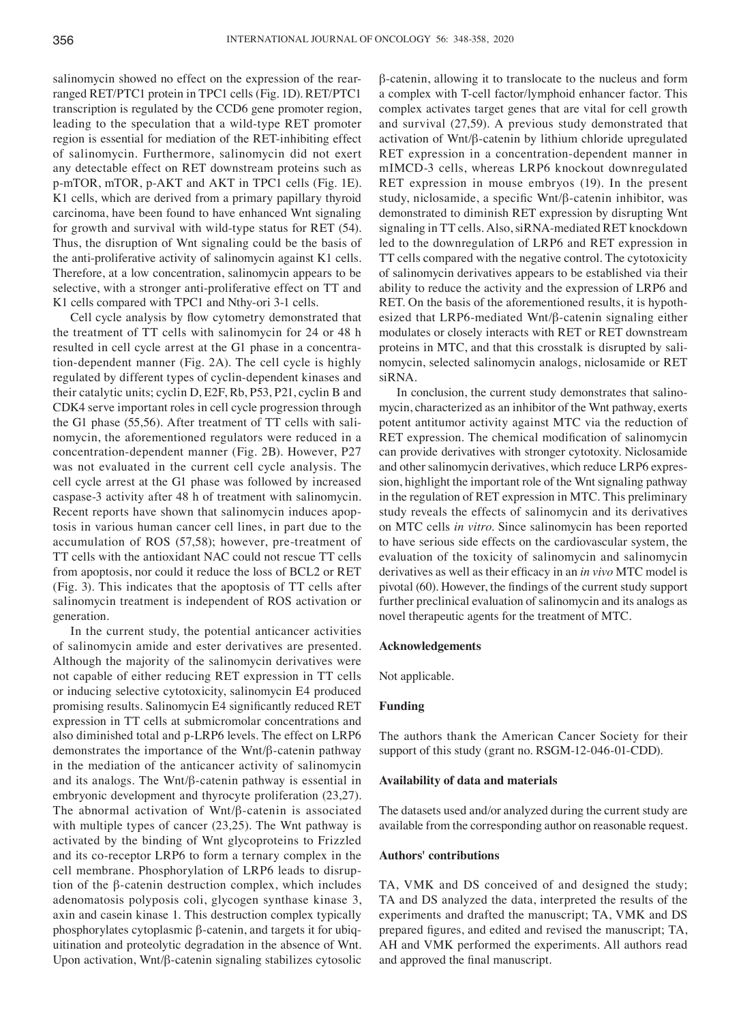salinomycin showed no effect on the expression of the rearranged RET/PTC1 protein in TPC1 cells (Fig. 1D). RET/PTC1 transcription is regulated by the CCD6 gene promoter region, leading to the speculation that a wild-type RET promoter region is essential for mediation of the RET-inhibiting effect of salinomycin. Furthermore, salinomycin did not exert any detectable effect on RET downstream proteins such as p-mTOR, mTOR, p-AKT and AKT in TPC1 cells (Fig. 1E). K1 cells, which are derived from a primary papillary thyroid carcinoma, have been found to have enhanced Wnt signaling for growth and survival with wild-type status for RET (54). Thus, the disruption of Wnt signaling could be the basis of the anti-proliferative activity of salinomycin against K1 cells. Therefore, at a low concentration, salinomycin appears to be selective, with a stronger anti-proliferative effect on TT and K1 cells compared with TPC1 and Nthy-ori 3-1 cells.

Cell cycle analysis by flow cytometry demonstrated that the treatment of TT cells with salinomycin for 24 or 48 h resulted in cell cycle arrest at the G1 phase in a concentration-dependent manner (Fig. 2A). The cell cycle is highly regulated by different types of cyclin-dependent kinases and their catalytic units; cyclin D, E2F, Rb, P53, P21, cyclin B and CDK4 serve important roles in cell cycle progression through the G1 phase (55,56). After treatment of TT cells with salinomycin, the aforementioned regulators were reduced in a concentration-dependent manner (Fig. 2B). However, P27 was not evaluated in the current cell cycle analysis. The cell cycle arrest at the G1 phase was followed by increased caspase-3 activity after 48 h of treatment with salinomycin. Recent reports have shown that salinomycin induces apoptosis in various human cancer cell lines, in part due to the accumulation of ROS (57,58); however, pre-treatment of TT cells with the antioxidant NAC could not rescue TT cells from apoptosis, nor could it reduce the loss of BCL2 or RET (Fig. 3). This indicates that the apoptosis of TT cells after salinomycin treatment is independent of ROS activation or generation.

In the current study, the potential anticancer activities of salinomycin amide and ester derivatives are presented. Although the majority of the salinomycin derivatives were not capable of either reducing RET expression in TT cells or inducing selective cytotoxicity, salinomycin E4 produced promising results. Salinomycin E4 significantly reduced RET expression in TT cells at submicromolar concentrations and also diminished total and p-LRP6 levels. The effect on LRP6 demonstrates the importance of the Wnt/β-catenin pathway in the mediation of the anticancer activity of salinomycin and its analogs. The Wnt/β-catenin pathway is essential in embryonic development and thyrocyte proliferation (23,27). The abnormal activation of Wnt/β-catenin is associated with multiple types of cancer (23,25). The Wnt pathway is activated by the binding of Wnt glycoproteins to Frizzled and its co-receptor LRP6 to form a ternary complex in the cell membrane. Phosphorylation of LRP6 leads to disruption of the β-catenin destruction complex, which includes adenomatosis polyposis coli, glycogen synthase kinase 3, axin and casein kinase 1. This destruction complex typically phosphorylates cytoplasmic β-catenin, and targets it for ubiquitination and proteolytic degradation in the absence of Wnt. Upon activation, Wnt/β‑catenin signaling stabilizes cytosolic β-catenin, allowing it to translocate to the nucleus and form a complex with T-cell factor/lymphoid enhancer factor. This complex activates target genes that are vital for cell growth and survival (27,59). A previous study demonstrated that activation of Wnt/β-catenin by lithium chloride upregulated RET expression in a concentration-dependent manner in mIMCD-3 cells, whereas LRP6 knockout downregulated RET expression in mouse embryos (19). In the present study, niclosamide, a specific Wnt/β-catenin inhibitor, was demonstrated to diminish RET expression by disrupting Wnt signaling in TT cells. Also, siRNA-mediated RET knockdown led to the downregulation of LRP6 and RET expression in TT cells compared with the negative control. The cytotoxicity of salinomycin derivatives appears to be established via their ability to reduce the activity and the expression of LRP6 and RET. On the basis of the aforementioned results, it is hypothesized that LRP6‑mediated Wnt/β-catenin signaling either modulates or closely interacts with RET or RET downstream proteins in MTC, and that this crosstalk is disrupted by salinomycin, selected salinomycin analogs, niclosamide or RET siRNA.

In conclusion, the current study demonstrates that salinomycin, characterized as an inhibitor of the Wnt pathway, exerts potent antitumor activity against MTC via the reduction of RET expression. The chemical modification of salinomycin can provide derivatives with stronger cytotoxity. Niclosamide and other salinomycin derivatives, which reduce LRP6 expression, highlight the important role of the Wnt signaling pathway in the regulation of RET expression in MTC. This preliminary study reveals the effects of salinomycin and its derivatives on MTC cells *in vitro*. Since salinomycin has been reported to have serious side effects on the cardiovascular system, the evaluation of the toxicity of salinomycin and salinomycin derivatives as well as their efficacy in an *in vivo* MTC model is pivotal (60). However, the findings of the current study support further preclinical evaluation of salinomycin and its analogs as novel therapeutic agents for the treatment of MTC.

#### **Acknowledgements**

Not applicable.

#### **Funding**

The authors thank the American Cancer Society for their support of this study (grant no. RSGM-12-046-01-CDD).

#### **Availability of data and materials**

The datasets used and/or analyzed during the current study are available from the corresponding author on reasonable request.

#### **Authors' contributions**

TA, VMK and DS conceived of and designed the study; TA and DS analyzed the data, interpreted the results of the experiments and drafted the manuscript; TA, VMK and DS prepared figures, and edited and revised the manuscript; TA, AH and VMK performed the experiments. All authors read and approved the final manuscript.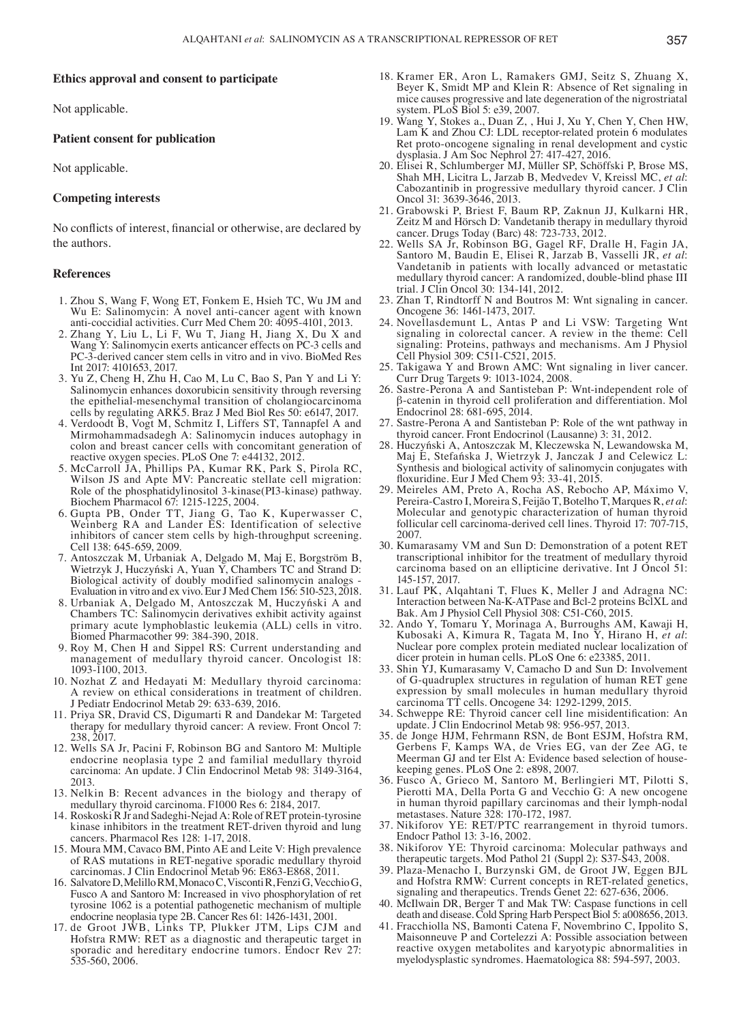#### **Ethics approval and consent to participate**

Not applicable.

#### **Patient consent for publication**

Not applicable.

## **Competing interests**

No conflicts of interest, financial or otherwise, are declared by the authors.

#### **References**

- 1. Zhou S, Wang F, Wong ET, Fonkem E, Hsieh TC, Wu JM and Wu E: Salinomycin: A novel anti-cancer agent with known anti-coccidial activities. Curr Med Chem 20: 4095-4101, 2013.
- 2. Zhang Y, Liu L, Li F, Wu T, Jiang H, Jiang X, Du X and Wang Y: Salinomycin exerts anticancer effects on PC-3 cells and PC-3-derived cancer stem cells in vitro and in vivo. BioMed Res Int 2017: 4101653, 2017.
- 3. Yu Z, Cheng H, Zhu H, Cao M, Lu C, Bao S, Pan Y and Li Y: Salinomycin enhances doxorubicin sensitivity through reversing the epithelial-mesenchymal transition of cholangiocarcinoma cells by regulating ARK5. Braz J Med Biol Res 50: e6147, 2017.
- 4. Verdoodt B, Vogt M, Schmitz I, Liffers ST, Tannapfel A and Mirmohammadsadegh A: Salinomycin induces autophagy in colon and breast cancer cells with concomitant generation of reactive oxygen species. PLoS One 7: e44132, 2012.
- 5. McCarroll JA, Phillips PA, Kumar RK, Park S, Pirola RC, Wilson JS and Apte MV: Pancreatic stellate cell migration: Role of the phosphatidylinositol 3-kinase(PI3-kinase) pathway. Biochem Pharmacol 67: 1215-1225, 2004.
- 6. Gupta PB, Onder TT, Jiang G, Tao K, Kuperwasser C, Weinberg RA and Lander ES: Identification of selective inhibitors of cancer stem cells by high-throughput screening. Cell 138: 645-659, 2009.
- 7. Antoszczak M, Urbaniak A, Delgado M, Maj E, Borgström B, Wietrzyk J, Huczyński A, Yuan Y, Chambers TC and Strand D: Biological activity of doubly modified salinomycin analogs - Evaluation in vitro and ex vivo. Eur J Med Chem 156: 510-523, 2018.
- 8. Urbaniak A, Delgado M, Antoszczak M, Huczyński A and Chambers TC: Salinomycin derivatives exhibit activity against primary acute lymphoblastic leukemia (ALL) cells in vitro. Biomed Pharmacother 99: 384-390, 2018.
- 9. Roy M, Chen H and Sippel RS: Current understanding and management of medullary thyroid cancer. Oncologist 18: 1093-1100, 2013.
- 10. Nozhat Z and Hedayati M: Medullary thyroid carcinoma: A review on ethical considerations in treatment of children. J Pediatr Endocrinol Metab 29: 633-639, 2016.
- 11. Priya SR, Dravid CS, Digumarti R and Dandekar M: Targeted therapy for medullary thyroid cancer: A review. Front Oncol 7: 238, 2017.
- 12. Wells SA Jr, Pacini F, Robinson BG and Santoro M: Multiple endocrine neoplasia type 2 and familial medullary thyroid carcinoma: An update. J Clin Endocrinol Metab 98: 3149-3164, 2013.
- 13. Nelkin B: Recent advances in the biology and therapy of medullary thyroid carcinoma. F1000 Res 6: 2184, 2017.
- 14. Roskoski R Jr and Sadeghi-Nejad A: Role of RET protein-tyrosine kinase inhibitors in the treatment RET-driven thyroid and lung cancers. Pharmacol Res 128: 1-17, 2018.
- 15. Moura MM, Cavaco BM, Pinto AE and Leite V: High prevalence of RAS mutations in RET-negative sporadic medullary thyroid carcinomas. J Clin Endocrinol Metab 96: E863-E868, 2011.
- 16. Salvatore D, Melillo RM, Monaco C, Visconti R, Fenzi G, VecchioG, Fusco A and Santoro M: Increased in vivo phosphorylation of ret tyrosine 1062 is a potential pathogenetic mechanism of multiple endocrine neoplasia type 2B. Cancer Res 61: 1426-1431, 2001.
- 17. de Groot JWB, Links TP, Plukker JTM, Lips CJM and Hofstra RMW: RET as a diagnostic and therapeutic target in sporadic and hereditary endocrine tumors. Endocr Rev 27: 535-560, 2006.
- 18. Kramer ER, Aron L, Ramakers GMJ, Seitz S, Zhuang X, Beyer K, Smidt MP and Klein R: Absence of Ret signaling in mice causes progressive and late degeneration of the nigrostriatal system. PLoS Biol 5: e39, 2007.
- 19. Wang Y, Stokes a., Duan Z, , Hui J, Xu Y, Chen Y, Chen HW, Lam K and Zhou CJ: LDL receptor-related protein 6 modulates Ret proto-oncogene signaling in renal development and cystic dysplasia. J Am Soc Nephrol 27: 417-427, 2016.
- 20. Elisei R, Schlumberger MJ, Müller SP, Schöffski P, Brose MS, Shah MH, Licitra L, Jarzab B, Medvedev V, Kreissl MC, et al: Cabozantinib in progressive medullary thyroid cancer. J Clin Oncol 31: 3639-3646, 2013.
- 21. Grabowski P, Briest F, Baum RP, Zaknun JJ, Kulkarni HR, Zeitz M and Hörsch D: Vandetanib therapy in medullary thyroid cancer. Drugs Today (Barc) 48: 723-733, 2012.
- 22. Wells SA Jr, Robinson BG, Gagel RF, Dralle H, Fagin JA, Santoro M, Baudin E, Elisei R, Jarzab B, Vasselli JR, et al: Vandetanib in patients with locally advanced or metastatic medullary thyroid cancer: A randomized, double‑blind phase III trial. J Clin Oncol 30: 134-141, 2012.
- 23. Zhan T, Rindtorff N and Boutros M: Wnt signaling in cancer. Oncogene 36: 1461-1473, 2017.
- 24. Novellasdemunt L, Antas P and Li VSW: Targeting Wnt signaling in colorectal cancer. A review in the theme: Cell signaling: Proteins, pathways and mechanisms. Am J Physiol Cell Physiol 309: C511-C521, 2015.
- 25. Takigawa Y and Brown AMC: Wnt signaling in liver cancer. Curr Drug Targets 9: 1013-1024, 2008.
- 26. Sastre-Perona A and Santisteban P: Wnt-independent role of β-catenin in thyroid cell proliferation and differentiation. Mol Endocrinol 28: 681-695, 2014.
- 27. Sastre-Perona A and Santisteban P: Role of the wnt pathway in thyroid cancer. Front Endocrinol (Lausanne) 3: 31, 2012.<br>28. Huczyński A, Antoszczak M, Kleczewska N, Lewandowska M,
- 28. Huczyński A, Antoszczak M, Kleczewska N, Lewandowska M, Maj E, Stefańska J, Wietrzyk J, Janczak J and Celewicz L: Synthesis and biological activity of salinomycin conjugates with floxuridine. Eur J Med Chem 93: 33‑41, 2015.
- 29. Meireles AM, Preto A, Rocha AS, Rebocho AP, Máximo V, Pereira-Castro I, Moreira S, Feijão T, Botelho T, Marques R, et al: Molecular and genotypic characterization of human thyroid follicular cell carcinoma-derived cell lines. Thyroid 17: 707-715, 2007.
- 30. Kumarasamy VM and Sun D: Demonstration of a potent RET transcriptional inhibitor for the treatment of medullary thyroid carcinoma based on an ellipticine derivative. Int J Oncol 51: 145-157, 2017.
- 31. Lauf PK, Alqahtani T, Flues K, Meller J and Adragna NC: Interaction between Na-K-ATPase and Bcl-2 proteins BclXL and Bak. Am J Physiol Cell Physiol 308: C51-C60, 2015.
- 32. Ando Y, Tomaru Y, Morinaga A, Burroughs AM, Kawaji H, Kubosaki A, Kimura R, Tagata M, Ino Y, Hirano H, *et al*: Nuclear pore complex protein mediated nuclear localization of dicer protein in human cells. PLoS One 6: e23385, 2011.
- 33. Shin YJ, Kumarasamy V, Camacho D and Sun D: Involvement of G-quadruplex structures in regulation of human RET gene expression by small molecules in human medullary thyroid carcinoma TT cells. Oncogene 34: 1292-1299, 2015.
- 34. Schweppe RE: Thyroid cancer cell line misidentification: An update. J Clin Endocrinol Metab 98: 956-957, 2013.
- 35. de Jonge HJM, Fehrmann RSN, de Bont ESJM, Hofstra RM, Gerbens F, Kamps WA, de Vries EG, van der Zee AG, te Meerman GJ and ter Elst A: Evidence based selection of house- keeping genes. PLoS One 2: e898, 2007.
- 36. Fusco A, Grieco M, Santoro M, Berlingieri MT, Pilotti S, Pierotti MA, Della Porta G and Vecchio G: A new oncogene in human thyroid papillary carcinomas and their lymph-nodal metastases. Nature 328: 170-172, 1987.
- 37. Nikiforov YE: RET/PTC rearrangement in thyroid tumors. Endocr Pathol 13: 3-16, 2002.
- 38. Nikiforov YE: Thyroid carcinoma: Molecular pathways and therapeutic targets. Mod Pathol 21 (Suppl 2): S37-S43, 2008.
- 39. Plaza‑Menacho I, Burzynski GM, de Groot JW, Eggen BJL and Hofstra RMW: Current concepts in RET-related genetics, signaling and therapeutics. Trends Genet 22: 627-636, 2006.
- 40. McIlwain DR, Berger T and Mak TW: Caspase functions in cell death and disease. Cold Spring Harb Perspect Biol 5: a008656, 2013.
- 41. Fracchiolla NS, Bamonti Catena F, Novembrino C, Ippolito S, Maisonneuve P and Cortelezzi A: Possible association between reactive oxygen metabolites and karyotypic abnormalities in myelodysplastic syndromes. Haematologica 88: 594-597, 2003.